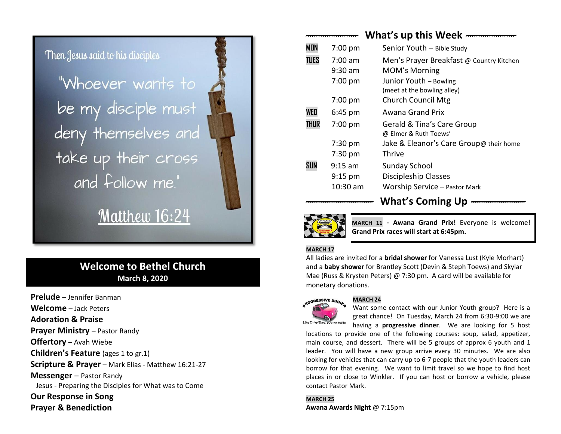# Then Jesus said to his disciples

"Whoever wants to be my disciple must deny themselves and take up their cross and follow me."

# Matthew 16:24

## **Welcome to Bethel Church March 8, 2020**

**Prelude** – Jennifer Banman **Welcome** – Jack Peters **Adoration & Praise Prayer Ministry - Pastor Randy Offertory** – Avah Wiebe **Children's Feature** (ages 1 to gr.1) **Scripture & Prayer** – Mark Elias - Matthew 16:21-27 **Messenger** – Pastor Randy Jesus - Preparing the Disciples for What was to Come **Our Response in Song Prayer & Benediction**

|             |                   | What's up this Week $-$                  |
|-------------|-------------------|------------------------------------------|
| <b>MON</b>  | $7:00$ pm         | Senior Youth - Bible Study               |
| <b>TUES</b> | $7:00 \text{ am}$ | Men's Prayer Breakfast @ Country Kitchen |
|             | $9:30$ am         | <b>MOM's Morning</b>                     |
|             | $7:00$ pm         | Junior Youth - Bowling                   |
|             |                   | (meet at the bowling alley)              |
|             | 7:00 pm           | <b>Church Council Mtg</b>                |
| WED         | $6:45$ pm         | Awana Grand Prix                         |
| THUR        | $7:00$ pm         | Gerald & Tina's Care Group               |
|             |                   | @ Elmer & Ruth Toews'                    |
|             | $7:30$ pm         | Jake & Eleanor's Care Group@ their home  |
|             | $7:30$ pm         | Thrive                                   |
| SUN         | $9:15$ am         | Sunday School                            |
|             | $9:15$ pm         | <b>Discipleship Classes</b>              |
|             | 10:30 am          | <b>Worship Service - Pastor Mark</b>     |

**MARCH 11 - Awana Grand Prix!** Everyone is welcome! **Grand Prix races will start at 6:45pm.**

*-------------------------------* **What's Coming Up** *-------------------------* 

#### **MARCH 17**

All ladies are invited for a **bridal shower** for Vanessa Lust (Kyle Morhart) and a **baby shower** for Brantley Scott (Devin & Steph Toews) and Skylar Mae (Russ & Krysten Peters) @ 7:30 pm. A card will be available for monetary donations.

#### **MARCH 24**



Want some contact with our Junior Youth group? Here is a great chance! On Tuesday, March 24 from 6:30-9:00 we are

having a **progressive dinner**. We are looking for 5 host locations to provide one of the following courses: soup, salad, appetizer, main course, and dessert. There will be 5 groups of approx 6 youth and 1 leader. You will have a new group arrive every 30 minutes. We are also looking for vehicles that can carry up to 6-7 people that the youth leaders can borrow for that evening. We want to limit travel so we hope to find host places in or close to Winkler. If you can host or borrow a vehicle, please contact Pastor Mark.

**MARCH 25 Awana Awards Night** @ 7:15pm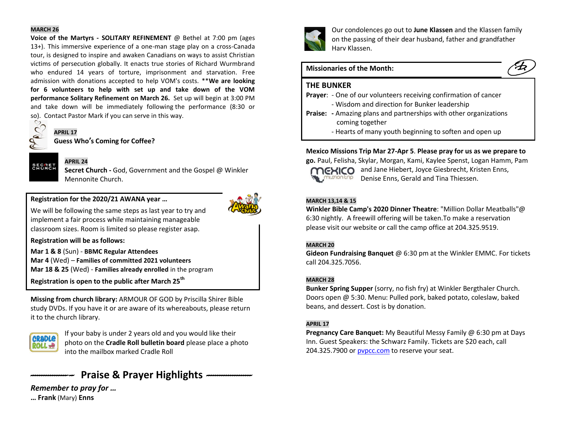#### **MARCH 26**

**Voice of the Martyrs - SOLITARY REFINEMENT** @ Bethel at 7:00 pm (ages 13+). This immersive experience of a one-man stage play on a cross-Canada tour, is designed to inspire and awaken Canadians on ways to assist Christian victims of persecution globally. It enacts true stories of Richard Wurmbrand who endured 14 years of torture, imprisonment and starvation. Free admission with donations accepted to help VOM's costs. \*\***We are looking for 6 volunteers to help with set up and take down of the VOM performance Solitary Refinement on March 26.** Set up will begin at 3:00 PM and take down will be immediately following the performance (8:30 or so). Contact Pastor Mark if you can serve in this way.<br> $\bigotimes$ 



**SECRET**<br>CHURCH

### **APRIL 24**

**Secret Church -** God, Government and the Gospel @ Winkler Mennonite Church.

#### **Registration for the 2020/21 AWANA year …**



We will be following the same steps as last year to try and implement a fair process while maintaining manageable classroom sizes. Room is limited so please register asap.

**Registration will be as follows:**

**Mar 1 & 8** (Sun) - **BBMC Regular Attendees Mar 4** (Wed) – **Families of committed 2021 volunteers Mar 18 & 25** (Wed) - **Families already enrolled** in the program **Registration is open to the public after March 25th**

**Missing from church library:** ARMOUR OF GOD by Priscilla Shirer Bible study DVDs. If you have it or are aware of its whereabouts, please return it to the church library.



If your baby is under 2 years old and you would like their photo on the **Cradle Roll bulletin board** please place a photo into the mailbox marked Cradle Roll

# *--------------------* **Praise & Prayer Highlights** *---------------------*

*Remember to pray for …* **… Frank** (Mary) **Enns**



Our condolences go out to **June Klassen** and the Klassen family on the passing of their dear husband, father and grandfather Harv Klassen.

#### **Missionaries of the Month:**

#### **THE BUNKER**



- Wisdom and direction for Bunker leadership
- **Praise: -** Amazing plans and partnerships with other organizations coming together
	- Hearts of many youth beginning to soften and open up

#### **Mexico Missions Trip Mar 27-Apr 5**. **Please pray for us as we prepare to**

**go.** Paul, Felisha, Skylar, Morgan, Kami, Kaylee Spenst, Logan Hamm, Pam mussion trip

**MEXICO** and Jane Hiebert, Joyce Giesbrecht, Kristen Enns. Denise Enns, Gerald and Tina Thiessen.

#### **MARCH 13,14 & 15**

**Winkler Bible Camp's 2020 Dinner Theatre**: "Million Dollar Meatballs"@ 6:30 nightly. A freewill offering will be taken.To make a reservation please visit our website or call the camp office at 204.325.9519.

#### **MARCH 20**

**Gideon Fundraising Banquet** @ 6:30 pm at the Winkler EMMC. For tickets call 204.325.7056.

#### **MARCH 28**

**Bunker Spring Supper** (sorry, no fish fry) at Winkler Bergthaler Church. Doors open @ 5:30. Menu: Pulled pork, baked potato, coleslaw, baked beans, and dessert. Cost is by donation.

#### **APRIL 17**

**Pregnancy Care Banquet:** My Beautiful Messy Family @ 6:30 pm at Days Inn. Guest Speakers: the Schwarz Family. Tickets are \$20 each, call 204.325.7900 or pypcc.com to reserve your seat.